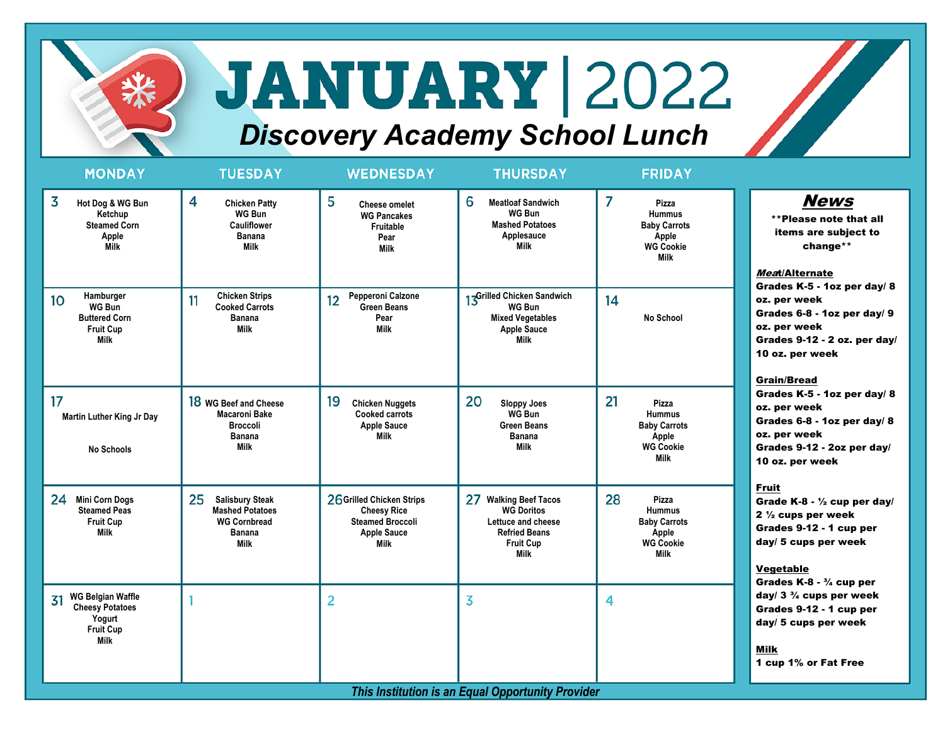

## **JANUARY 2022**

## *Discovery Academy School Lunch*

| <b>MONDAY</b>                                                                                            | <b>TUESDAY</b>                                                                                                | <b>WEDNESDAY</b>                                                                                         | <b>THURSDAY</b>                                                                                                      | <b>FRIDAY</b>                                                                                   |                                                                                                                                                                                                                                                                                                                                                                                                                   |  |  |
|----------------------------------------------------------------------------------------------------------|---------------------------------------------------------------------------------------------------------------|----------------------------------------------------------------------------------------------------------|----------------------------------------------------------------------------------------------------------------------|-------------------------------------------------------------------------------------------------|-------------------------------------------------------------------------------------------------------------------------------------------------------------------------------------------------------------------------------------------------------------------------------------------------------------------------------------------------------------------------------------------------------------------|--|--|
| 3<br>Hot Dog & WG Bun<br>Ketchup<br><b>Steamed Corn</b><br>Apple<br><b>Milk</b>                          | 4<br><b>Chicken Patty</b><br><b>WG Bun</b><br><b>Cauliflower</b><br>Banana<br>Milk                            | 5<br><b>Cheese omelet</b><br><b>WG Pancakes</b><br>Fruitable<br>Pear<br><b>Milk</b>                      | 6<br><b>Meatloaf Sandwich</b><br>WG Bun<br><b>Mashed Potatoes</b><br>Applesauce<br><b>Milk</b>                       | 7<br>Pizza<br><b>Hummus</b><br><b>Baby Carrots</b><br>Apple<br><b>WG Cookie</b><br><b>Milk</b>  | <b>News</b><br>**Please note that all<br>items are subject to<br>change**<br>Meat/Alternate<br>Grades K-5 - 1oz per day/ 8<br>oz. per week<br>Grades 6-8 - 1oz per day/ 9<br>oz. per week<br>Grades 9-12 - 2 oz. per day/<br>10 oz. per week<br><b>Grain/Bread</b><br>Grades K-5 - 1oz per day/ 8<br>oz. per week<br>Grades 6-8 - 1oz per day/ 8<br>oz. per week<br>Grades 9-12 - 2oz per day/<br>10 oz. per week |  |  |
| Hamburger<br>10 <sup>°</sup><br><b>WG Bun</b><br><b>Buttered Corn</b><br><b>Fruit Cup</b><br><b>Milk</b> | <b>Chicken Strips</b><br>11<br><b>Cooked Carrots</b><br>Banana<br><b>Milk</b>                                 | Pepperoni Calzone<br>12<br><b>Green Beans</b><br>Pear<br><b>Milk</b>                                     | 13Grilled Chicken Sandwich<br><b>WG Bun</b><br><b>Mixed Vegetables</b><br><b>Apple Sauce</b><br>Milk                 | 14<br>No School                                                                                 |                                                                                                                                                                                                                                                                                                                                                                                                                   |  |  |
| 17<br><b>Martin Luther King Jr Day</b><br>No Schools                                                     | 18 WG Beef and Cheese<br>Macaroni Bake<br><b>Broccoli</b><br><b>Banana</b><br><b>Milk</b>                     | 19<br><b>Chicken Nuggets</b><br><b>Cooked carrots</b><br><b>Apple Sauce</b><br>Milk                      | 20<br><b>Sloppy Joes</b><br>WG Bun<br><b>Green Beans</b><br>Banana<br>Milk                                           | 21<br>Pizza<br><b>Hummus</b><br><b>Baby Carrots</b><br>Apple<br><b>WG Cookie</b><br><b>Milk</b> |                                                                                                                                                                                                                                                                                                                                                                                                                   |  |  |
| 24<br><b>Mini Corn Dogs</b><br><b>Steamed Peas</b><br><b>Fruit Cup</b><br><b>Milk</b>                    | 25<br><b>Salisbury Steak</b><br><b>Mashed Potatoes</b><br><b>WG Cornbread</b><br><b>Banana</b><br><b>Milk</b> | 26 Grilled Chicken Strips<br><b>Cheesy Rice</b><br><b>Steamed Broccoli</b><br><b>Apple Sauce</b><br>Milk | 27 Walking Beef Tacos<br><b>WG Doritos</b><br>Lettuce and cheese<br><b>Refried Beans</b><br><b>Fruit Cup</b><br>Milk | 28<br>Pizza<br><b>Hummus</b><br><b>Baby Carrots</b><br>Apple<br><b>WG Cookie</b><br><b>Milk</b> | <b>Fruit</b><br>Grade K-8 - 1/2 cup per day/<br>$2\frac{1}{2}$ cups per week<br>Grades 9-12 - 1 cup per<br>day/ 5 cups per week<br><b>Vegetable</b><br>Grades $K-8 - \frac{3}{4}$ cup per                                                                                                                                                                                                                         |  |  |
| <b>WG Belgian Waffle</b><br>31<br><b>Cheesy Potatoes</b><br>Yogurt<br><b>Fruit Cup</b><br><b>Milk</b>    |                                                                                                               | $\overline{2}$                                                                                           | $\overline{\mathbf{3}}$                                                                                              | 4                                                                                               | day/ $3\frac{3}{4}$ cups per week<br>Grades 9-12 - 1 cup per<br>day/ 5 cups per week<br><b>Milk</b><br>1 cup 1% or Fat Free                                                                                                                                                                                                                                                                                       |  |  |
| This Institution is an Equal Opportunity Provider                                                        |                                                                                                               |                                                                                                          |                                                                                                                      |                                                                                                 |                                                                                                                                                                                                                                                                                                                                                                                                                   |  |  |